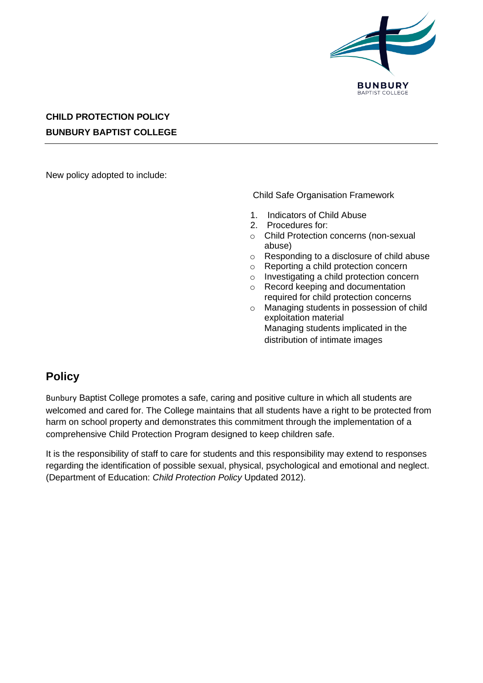

## **CHILD PROTECTION POLICY BUNBURY BAPTIST COLLEGE**

New policy adopted to include:

Child Safe Organisation Framework

- 1. Indicators of Child Abuse
- 2. Procedures for:
- o Child Protection concerns (non-sexual abuse)
- o Responding to a disclosure of child abuse
- o Reporting a child protection concern
- o Investigating a child protection concern
- o Record keeping and documentation required for child protection concerns
- o Managing students in possession of child exploitation material Managing students implicated in the distribution of intimate images

## **Policy**

Bunbury Baptist College promotes a safe, caring and positive culture in which all students are welcomed and cared for. The College maintains that all students have a right to be protected from harm on school property and demonstrates this commitment through the implementation of a comprehensive Child Protection Program designed to keep children safe.

It is the responsibility of staff to care for students and this responsibility may extend to responses regarding the identification of possible sexual, physical, psychological and emotional and neglect. (Department of Education: *Child Protection Policy* Updated 2012).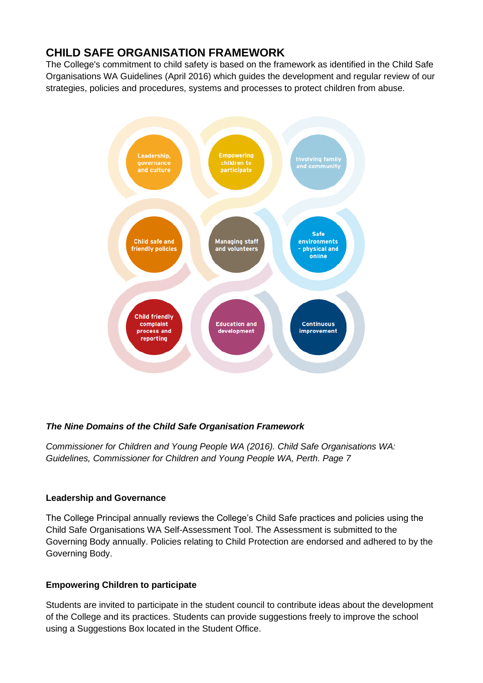# **CHILD SAFE ORGANISATION FRAMEWORK**

The College's commitment to child safety is based on the framework as identified in the Child Safe Organisations WA Guidelines (April 2016) which guides the development and regular review of our strategies, policies and procedures, systems and processes to protect children from abuse.



### *The Nine Domains of the Child Safe Organisation Framework*

*Commissioner for Children and Young People WA (2016). Child Safe Organisations WA: Guidelines, Commissioner for Children and Young People WA, Perth. Page 7*

### **Leadership and Governance**

The College Principal annually reviews the College's Child Safe practices and policies using the Child Safe Organisations WA Self-Assessment Tool. The Assessment is submitted to the Governing Body annually. Policies relating to Child Protection are endorsed and adhered to by the Governing Body.

### **Empowering Children to participate**

Students are invited to participate in the student council to contribute ideas about the development of the College and its practices. Students can provide suggestions freely to improve the school using a Suggestions Box located in the Student Office.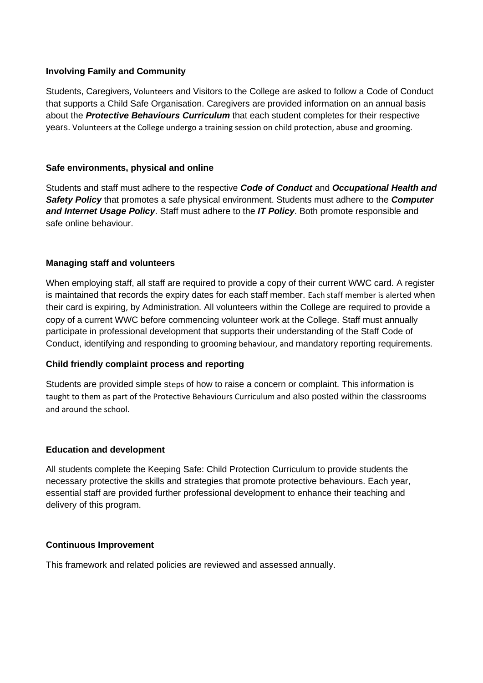### **Involving Family and Community**

Students, Caregivers, Volunteers and Visitors to the College are asked to follow a Code of Conduct that supports a Child Safe Organisation. Caregivers are provided information on an annual basis about the *Protective Behaviours Curriculum* that each student completes for their respective years. Volunteers at the College undergo a training session on child protection, abuse and grooming.

### **Safe environments, physical and online**

Students and staff must adhere to the respective *Code of Conduct* and *Occupational Health and Safety Policy* that promotes a safe physical environment. Students must adhere to the *Computer and Internet Usage Policy*. Staff must adhere to the *IT Policy*. Both promote responsible and safe online behaviour.

### **Managing staff and volunteers**

When employing staff, all staff are required to provide a copy of their current WWC card. A register is maintained that records the expiry dates for each staff member. Each staff member is alerted when their card is expiring, by Administration. All volunteers within the College are required to provide a copy of a current WWC before commencing volunteer work at the College. Staff must annually participate in professional development that supports their understanding of the Staff Code of Conduct, identifying and responding to grooming behaviour, and mandatory reporting requirements.

### **Child friendly complaint process and reporting**

Students are provided simple steps of how to raise a concern or complaint. This information is taught to them as part of the Protective Behaviours Curriculum and also posted within the classrooms and around the school.

### **Education and development**

All students complete the Keeping Safe: Child Protection Curriculum to provide students the necessary protective the skills and strategies that promote protective behaviours. Each year, essential staff are provided further professional development to enhance their teaching and delivery of this program.

### **Continuous Improvement**

This framework and related policies are reviewed and assessed annually.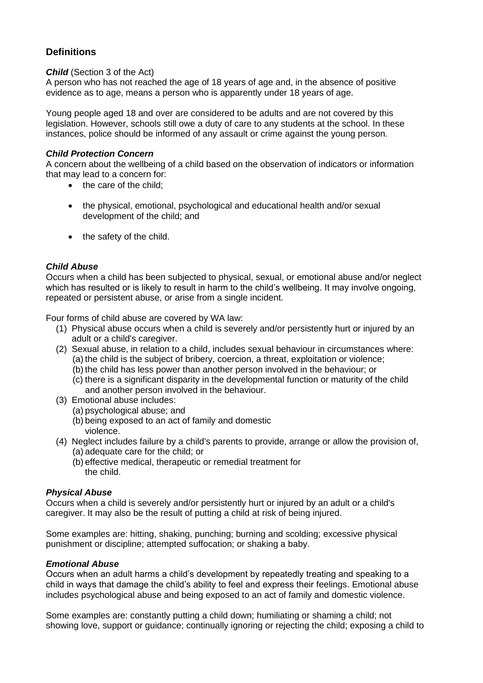### **Definitions**

#### *Child* (Section 3 of the Act)

A person who has not reached the age of 18 years of age and, in the absence of positive evidence as to age, means a person who is apparently under 18 years of age.

Young people aged 18 and over are considered to be adults and are not covered by this legislation. However, schools still owe a duty of care to any students at the school. In these instances, police should be informed of any assault or crime against the young person.

#### *Child Protection Concern*

A concern about the wellbeing of a child based on the observation of indicators or information that may lead to a concern for:

- the care of the child:
- the physical, emotional, psychological and educational health and/or sexual development of the child; and
- the safety of the child.

### *Child Abuse*

Occurs when a child has been subjected to physical, sexual, or emotional abuse and/or neglect which has resulted or is likely to result in harm to the child's wellbeing. It may involve ongoing, repeated or persistent abuse, or arise from a single incident.

Four forms of child abuse are covered by WA law:

- (1) Physical abuse occurs when a child is severely and/or persistently hurt or injured by an adult or a child's caregiver.
- (2) Sexual abuse, in relation to a child, includes sexual behaviour in circumstances where: (a) the child is the subject of bribery, coercion, a threat, exploitation or violence;
	- (b) the child has less power than another person involved in the behaviour; or
	- (c) there is a significant disparity in the developmental function or maturity of the child and another person involved in the behaviour.
- (3) Emotional abuse includes:
	- (a) psychological abuse; and
	- (b) being exposed to an act of family and domestic violence.
- (4) Neglect includes failure by a child's parents to provide, arrange or allow the provision of, (a) adequate care for the child; or
	- (b) effective medical, therapeutic or remedial treatment for the child.

#### *Physical Abuse*

Occurs when a child is severely and/or persistently hurt or injured by an adult or a child's caregiver. It may also be the result of putting a child at risk of being injured.

Some examples are: hitting, shaking, punching; burning and scolding; excessive physical punishment or discipline; attempted suffocation; or shaking a baby.

#### *Emotional Abuse*

Occurs when an adult harms a child's development by repeatedly treating and speaking to a child in ways that damage the child's ability to feel and express their feelings. Emotional abuse includes psychological abuse and being exposed to an act of family and domestic violence.

Some examples are: constantly putting a child down; humiliating or shaming a child; not showing love, support or guidance; continually ignoring or rejecting the child; exposing a child to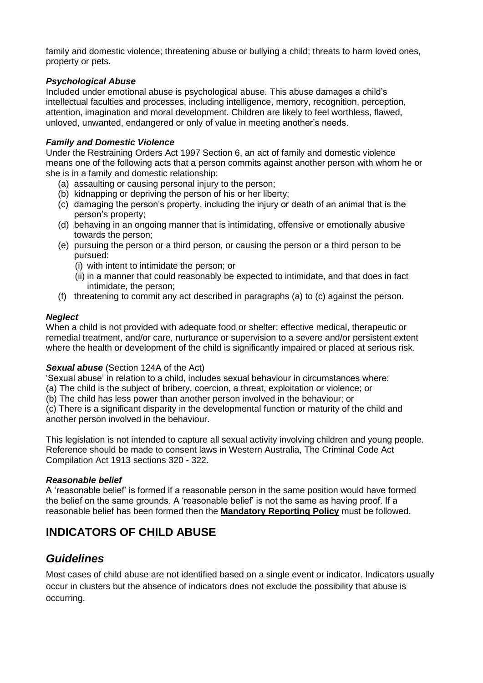family and domestic violence; threatening abuse or bullying a child; threats to harm loved ones, property or pets.

### *Psychological Abuse*

Included under emotional abuse is psychological abuse. This abuse damages a child's intellectual faculties and processes, including intelligence, memory, recognition, perception, attention, imagination and moral development. Children are likely to feel worthless, flawed, unloved, unwanted, endangered or only of value in meeting another's needs.

### *Family and Domestic Violence*

Under the Restraining Orders Act 1997 Section 6, an act of family and domestic violence means one of the following acts that a person commits against another person with whom he or she is in a family and domestic relationship:

- (a) assaulting or causing personal injury to the person;
- (b) kidnapping or depriving the person of his or her liberty;
- (c) damaging the person's property, including the injury or death of an animal that is the person's property;
- (d) behaving in an ongoing manner that is intimidating, offensive or emotionally abusive towards the person;
- (e) pursuing the person or a third person, or causing the person or a third person to be pursued:
	- (i) with intent to intimidate the person; or
	- (ii) in a manner that could reasonably be expected to intimidate, and that does in fact intimidate, the person;
- (f) threatening to commit any act described in paragraphs (a) to (c) against the person.

### *Neglect*

When a child is not provided with adequate food or shelter; effective medical, therapeutic or remedial treatment, and/or care, nurturance or supervision to a severe and/or persistent extent where the health or development of the child is significantly impaired or placed at serious risk.

### *Sexual abuse* (Section 124A of the Act)

'Sexual abuse' in relation to a child, includes sexual behaviour in circumstances where:

(a) The child is the subject of bribery, coercion, a threat, exploitation or violence; or

(b) The child has less power than another person involved in the behaviour; or

(c) There is a significant disparity in the developmental function or maturity of the child and another person involved in the behaviour.

This legislation is not intended to capture all sexual activity involving children and young people. Reference should be made to consent laws in Western Australia, The Criminal Code Act Compilation Act 1913 sections 320 - 322.

### *Reasonable belief*

A 'reasonable belief' is formed if a reasonable person in the same position would have formed the belief on the same grounds. A 'reasonable belief' is not the same as having proof. If a reasonable belief has been formed then the **[Mandatory Reporting Policy](https://mbc.complispace.com.au/MandatoryReportingPolicy)** must be followed.

# **INDICATORS OF CHILD ABUSE**

### *Guidelines*

Most cases of child abuse are not identified based on a single event or indicator. Indicators usually occur in clusters but the absence of indicators does not exclude the possibility that abuse is occurring.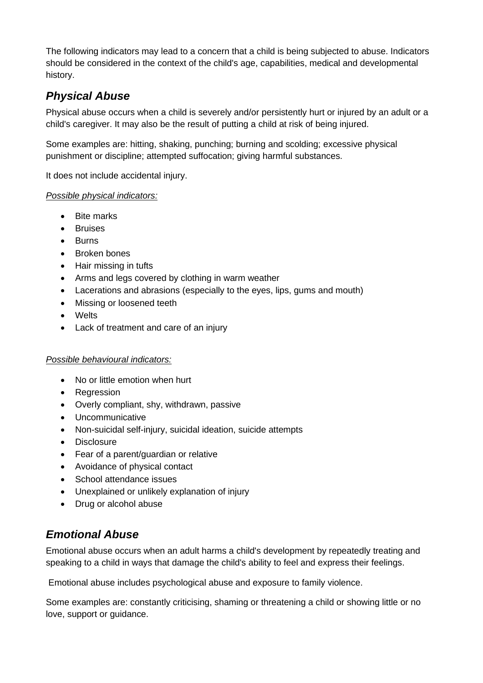The following indicators may lead to a concern that a child is being subjected to abuse. Indicators should be considered in the context of the child's age, capabilities, medical and developmental history.

# *Physical Abuse*

Physical abuse occurs when a child is severely and/or persistently hurt or injured by an adult or a child's caregiver. It may also be the result of putting a child at risk of being injured.

Some examples are: hitting, shaking, punching; burning and scolding; excessive physical punishment or discipline; attempted suffocation; giving harmful substances.

It does not include accidental injury.

### *Possible physical indicators:*

- Bite marks
- **Bruises**
- Burns
- Broken bones
- Hair missing in tufts
- Arms and legs covered by clothing in warm weather
- Lacerations and abrasions (especially to the eyes, lips, gums and mouth)
- Missing or loosened teeth
- Welts
- Lack of treatment and care of an injury

### *Possible behavioural indicators:*

- No or little emotion when hurt
- Regression
- Overly compliant, shy, withdrawn, passive
- Uncommunicative
- Non-suicidal self-injury, suicidal ideation, suicide attempts
- Disclosure
- Fear of a parent/guardian or relative
- Avoidance of physical contact
- School attendance issues
- Unexplained or unlikely explanation of injury
- Drug or alcohol abuse

## *Emotional Abuse*

Emotional abuse occurs when an adult harms a child's development by repeatedly treating and speaking to a child in ways that damage the child's ability to feel and express their feelings.

Emotional abuse includes psychological abuse and exposure to family violence.

Some examples are: constantly criticising, shaming or threatening a child or showing little or no love, support or guidance.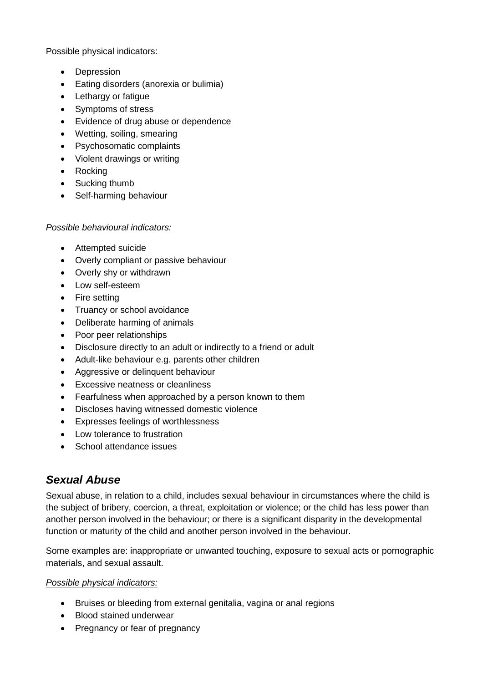Possible physical indicators:

- Depression
- Eating disorders (anorexia or bulimia)
- Lethargy or fatigue
- Symptoms of stress
- Evidence of drug abuse or dependence
- Wetting, soiling, smearing
- Psychosomatic complaints
- Violent drawings or writing
- Rocking
- Sucking thumb
- Self-harming behaviour

### *Possible behavioural indicators:*

- Attempted suicide
- Overly compliant or passive behaviour
- Overly shy or withdrawn
- Low self-esteem
- Fire setting
- Truancy or school avoidance
- Deliberate harming of animals
- Poor peer relationships
- Disclosure directly to an adult or indirectly to a friend or adult
- Adult-like behaviour e.g. parents other children
- Aggressive or delinquent behaviour
- Excessive neatness or cleanliness
- Fearfulness when approached by a person known to them
- Discloses having witnessed domestic violence
- Expresses feelings of worthlessness
- Low tolerance to frustration
- School attendance issues

# *Sexual Abuse*

Sexual abuse, in relation to a child, includes sexual behaviour in circumstances where the child is the subject of bribery, coercion, a threat, exploitation or violence; or the child has less power than another person involved in the behaviour; or there is a significant disparity in the developmental function or maturity of the child and another person involved in the behaviour.

Some examples are: inappropriate or unwanted touching, exposure to sexual acts or pornographic materials, and sexual assault.

### *Possible physical indicators:*

- Bruises or bleeding from external genitalia, vagina or anal regions
- Blood stained underwear
- Pregnancy or fear of pregnancy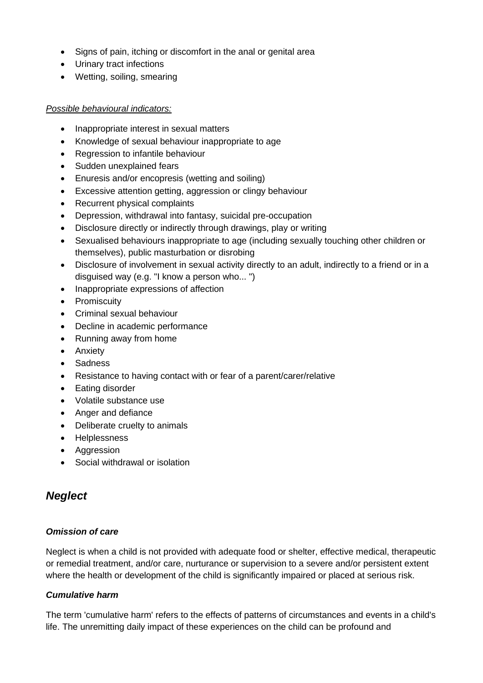- Signs of pain, itching or discomfort in the anal or genital area
- Urinary tract infections
- Wetting, soiling, smearing

### *Possible behavioural indicators:*

- Inappropriate interest in sexual matters
- Knowledge of sexual behaviour inappropriate to age
- Regression to infantile behaviour
- Sudden unexplained fears
- Enuresis and/or encopresis (wetting and soiling)
- Excessive attention getting, aggression or clingy behaviour
- Recurrent physical complaints
- Depression, withdrawal into fantasy, suicidal pre-occupation
- Disclosure directly or indirectly through drawings, play or writing
- Sexualised behaviours inappropriate to age (including sexually touching other children or themselves), public masturbation or disrobing
- Disclosure of involvement in sexual activity directly to an adult, indirectly to a friend or in a disguised way (e.g. "I know a person who... ")
- Inappropriate expressions of affection
- Promiscuity
- Criminal sexual behaviour
- Decline in academic performance
- Running away from home
- Anxiety
- **Sadness**
- Resistance to having contact with or fear of a parent/carer/relative
- Eating disorder
- Volatile substance use
- Anger and defiance
- Deliberate cruelty to animals
- Helplessness
- Aggression
- Social withdrawal or isolation

### *Neglect*

### *Omission of care*

Neglect is when a child is not provided with adequate food or shelter, effective medical, therapeutic or remedial treatment, and/or care, nurturance or supervision to a severe and/or persistent extent where the health or development of the child is significantly impaired or placed at serious risk.

### *Cumulative harm*

The term 'cumulative harm' refers to the effects of patterns of circumstances and events in a child's life. The unremitting daily impact of these experiences on the child can be profound and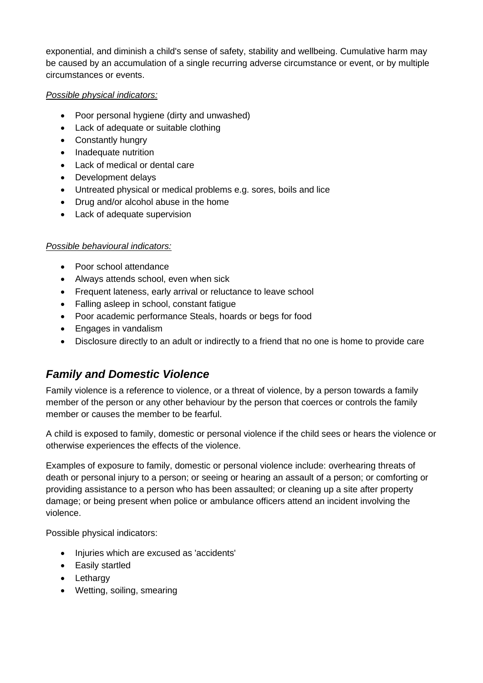exponential, and diminish a child's sense of safety, stability and wellbeing. Cumulative harm may be caused by an accumulation of a single recurring adverse circumstance or event, or by multiple circumstances or events.

### *Possible physical indicators:*

- Poor personal hygiene (dirty and unwashed)
- Lack of adequate or suitable clothing
- Constantly hungry
- Inadequate nutrition
- Lack of medical or dental care
- Development delays
- Untreated physical or medical problems e.g. sores, boils and lice
- Drug and/or alcohol abuse in the home
- Lack of adequate supervision

### *Possible behavioural indicators:*

- Poor school attendance
- Always attends school, even when sick
- Frequent lateness, early arrival or reluctance to leave school
- Falling asleep in school, constant fatigue
- Poor academic performance Steals, hoards or begs for food
- Engages in vandalism
- Disclosure directly to an adult or indirectly to a friend that no one is home to provide care

## *Family and Domestic Violence*

Family violence is a reference to violence, or a threat of violence, by a person towards a family member of the person or any other behaviour by the person that coerces or controls the family member or causes the member to be fearful.

A child is exposed to family, domestic or personal violence if the child sees or hears the violence or otherwise experiences the effects of the violence.

Examples of exposure to family, domestic or personal violence include: overhearing threats of death or personal injury to a person; or seeing or hearing an assault of a person; or comforting or providing assistance to a person who has been assaulted; or cleaning up a site after property damage; or being present when police or ambulance officers attend an incident involving the violence.

Possible physical indicators:

- Injuries which are excused as 'accidents'
- Easily startled
- Lethargy
- Wetting, soiling, smearing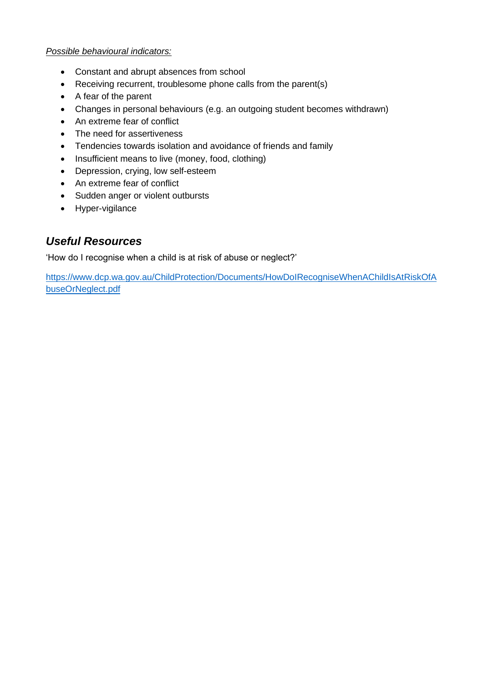### *Possible behavioural indicators:*

- Constant and abrupt absences from school
- Receiving recurrent, troublesome phone calls from the parent(s)
- A fear of the parent
- Changes in personal behaviours (e.g. an outgoing student becomes withdrawn)
- An extreme fear of conflict
- The need for assertiveness
- Tendencies towards isolation and avoidance of friends and family
- Insufficient means to live (money, food, clothing)
- Depression, crying, low self-esteem
- An extreme fear of conflict
- Sudden anger or violent outbursts
- Hyper-vigilance

## *Useful Resources*

'How do I recognise when a child is at risk of abuse or neglect?'

[https://www.dcp.wa.gov.au/ChildProtection/Documents/HowDoIRecogniseWhenAChildIsAtRiskOfA](https://www.dcp.wa.gov.au/ChildProtection/Documents/HowDoIRecogniseWhenAChildIsAtRiskOfAbuseOrNeglect.pdf) [buseOrNeglect.pdf](https://www.dcp.wa.gov.au/ChildProtection/Documents/HowDoIRecogniseWhenAChildIsAtRiskOfAbuseOrNeglect.pdf)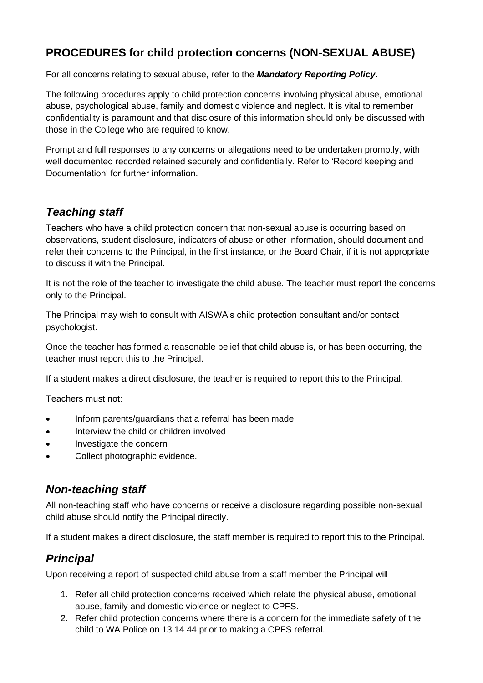# **PROCEDURES for child protection concerns (NON-SEXUAL ABUSE)**

For all concerns relating to sexual abuse, refer to the *Mandatory Reporting Policy*.

The following procedures apply to child protection concerns involving physical abuse, emotional abuse, psychological abuse, family and domestic violence and neglect. It is vital to remember confidentiality is paramount and that disclosure of this information should only be discussed with those in the College who are required to know.

Prompt and full responses to any concerns or allegations need to be undertaken promptly, with well documented recorded retained securely and confidentially. Refer to 'Record keeping and Documentation' for further information.

# *Teaching staff*

Teachers who have a child protection concern that non-sexual abuse is occurring based on observations, student disclosure, indicators of abuse or other information, should document and refer their concerns to the Principal, in the first instance, or the Board Chair, if it is not appropriate to discuss it with the Principal.

It is not the role of the teacher to investigate the child abuse. The teacher must report the concerns only to the Principal.

The Principal may wish to consult with AISWA's child protection consultant and/or contact psychologist.

Once the teacher has formed a reasonable belief that child abuse is, or has been occurring, the teacher must report this to the Principal.

If a student makes a direct disclosure, the teacher is required to report this to the Principal.

Teachers must not:

- Inform parents/guardians that a referral has been made
- Interview the child or children involved
- Investigate the concern
- Collect photographic evidence.

## *Non-teaching staff*

All non-teaching staff who have concerns or receive a disclosure regarding possible non-sexual child abuse should notify the Principal directly.

If a student makes a direct disclosure, the staff member is required to report this to the Principal.

## *Principal*

Upon receiving a report of suspected child abuse from a staff member the Principal will

- 1. Refer all child protection concerns received which relate the physical abuse, emotional abuse, family and domestic violence or neglect to CPFS.
- 2. Refer child protection concerns where there is a concern for the immediate safety of the child to WA Police on 13 14 44 prior to making a CPFS referral.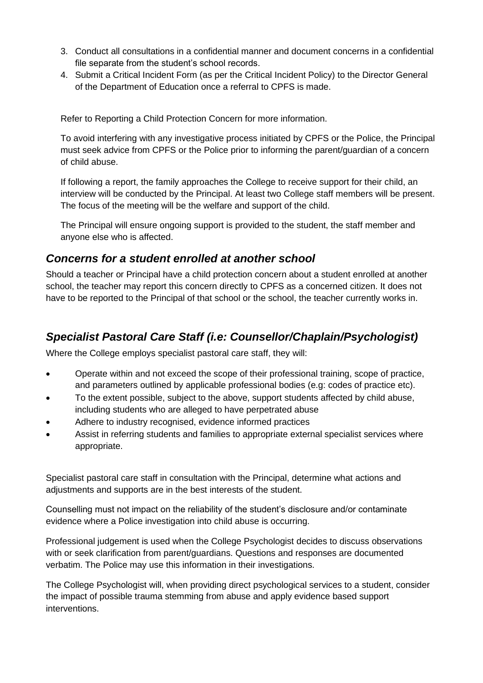- 3. Conduct all consultations in a confidential manner and document concerns in a confidential file separate from the student's school records.
- 4. Submit a Critical Incident Form (as per the Critical Incident Policy) to the Director General of the Department of Education once a referral to CPFS is made.

Refer to Reporting a Child Protection Concern for more information.

To avoid interfering with any investigative process initiated by CPFS or the Police, the Principal must seek advice from CPFS or the Police prior to informing the parent/guardian of a concern of child abuse.

If following a report, the family approaches the College to receive support for their child, an interview will be conducted by the Principal. At least two College staff members will be present. The focus of the meeting will be the welfare and support of the child.

The Principal will ensure ongoing support is provided to the student, the staff member and anyone else who is affected.

## *Concerns for a student enrolled at another school*

Should a teacher or Principal have a child protection concern about a student enrolled at another school, the teacher may report this concern directly to CPFS as a concerned citizen. It does not have to be reported to the Principal of that school or the school, the teacher currently works in.

# *Specialist Pastoral Care Staff (i.e: Counsellor/Chaplain/Psychologist)*

Where the College employs specialist pastoral care staff, they will:

- Operate within and not exceed the scope of their professional training, scope of practice, and parameters outlined by applicable professional bodies (e.g: codes of practice etc).
- To the extent possible, subject to the above, support students affected by child abuse, including students who are alleged to have perpetrated abuse
- Adhere to industry recognised, evidence informed practices
- Assist in referring students and families to appropriate external specialist services where appropriate.

Specialist pastoral care staff in consultation with the Principal, determine what actions and adjustments and supports are in the best interests of the student.

Counselling must not impact on the reliability of the student's disclosure and/or contaminate evidence where a Police investigation into child abuse is occurring.

Professional judgement is used when the College Psychologist decides to discuss observations with or seek clarification from parent/guardians. Questions and responses are documented verbatim. The Police may use this information in their investigations.

The College Psychologist will, when providing direct psychological services to a student, consider the impact of possible trauma stemming from abuse and apply evidence based support interventions.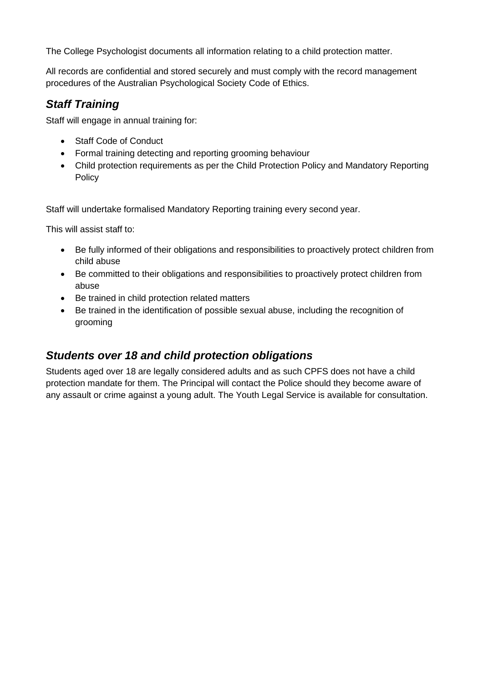The College Psychologist documents all information relating to a child protection matter.

All records are confidential and stored securely and must comply with the record management procedures of the Australian Psychological Society Code of Ethics.

## *Staff Training*

Staff will engage in annual training for:

- Staff Code of Conduct
- Formal training detecting and reporting grooming behaviour
- Child protection requirements as per the Child Protection Policy and Mandatory Reporting Policy

Staff will undertake formalised Mandatory Reporting training every second year.

This will assist staff to:

- Be fully informed of their obligations and responsibilities to proactively protect children from child abuse
- Be committed to their obligations and responsibilities to proactively protect children from abuse
- Be trained in child protection related matters
- Be trained in the identification of possible sexual abuse, including the recognition of grooming

### *Students over 18 and child protection obligations*

Students aged over 18 are legally considered adults and as such CPFS does not have a child protection mandate for them. The Principal will contact the Police should they become aware of any assault or crime against a young adult. The Youth Legal Service is available for consultation.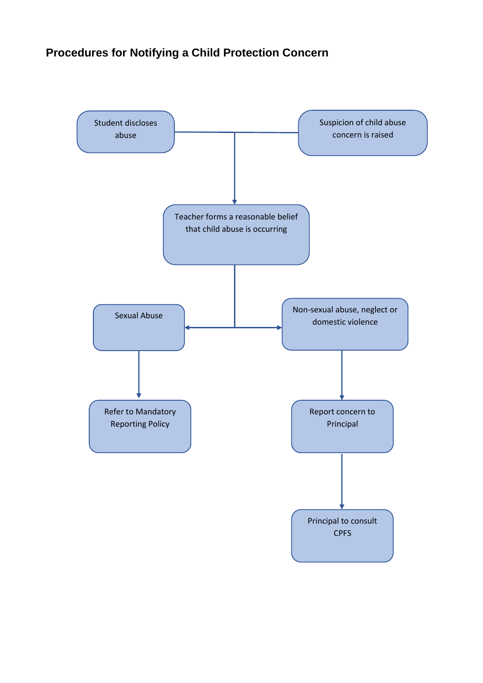# **Procedures for Notifying a Child Protection Concern**

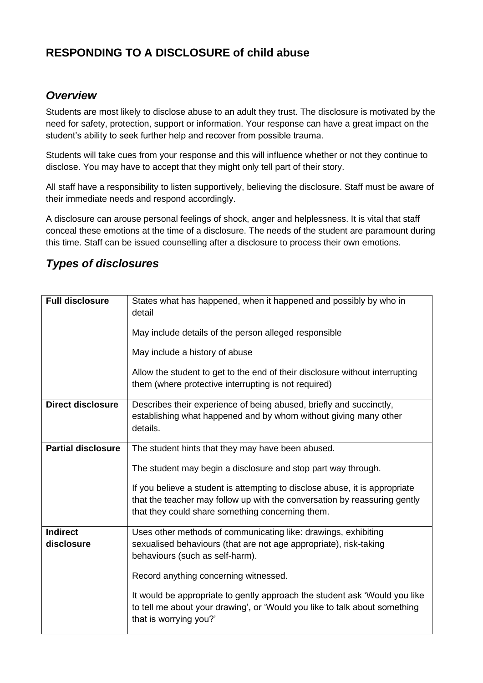# **RESPONDING TO A DISCLOSURE of child abuse**

## *Overview*

Students are most likely to disclose abuse to an adult they trust. The disclosure is motivated by the need for safety, protection, support or information. Your response can have a great impact on the student's ability to seek further help and recover from possible trauma.

Students will take cues from your response and this will influence whether or not they continue to disclose. You may have to accept that they might only tell part of their story.

All staff have a responsibility to listen supportively, believing the disclosure. Staff must be aware of their immediate needs and respond accordingly.

A disclosure can arouse personal feelings of shock, anger and helplessness. It is vital that staff conceal these emotions at the time of a disclosure. The needs of the student are paramount during this time. Staff can be issued counselling after a disclosure to process their own emotions.

## *Types of disclosures*

| <b>Full disclosure</b>    | States what has happened, when it happened and possibly by who in<br>detail<br>May include details of the person alleged responsible                                               |
|---------------------------|------------------------------------------------------------------------------------------------------------------------------------------------------------------------------------|
|                           | May include a history of abuse                                                                                                                                                     |
|                           | Allow the student to get to the end of their disclosure without interrupting<br>them (where protective interrupting is not required)                                               |
| <b>Direct disclosure</b>  | Describes their experience of being abused, briefly and succinctly,<br>establishing what happened and by whom without giving many other<br>details.                                |
| <b>Partial disclosure</b> | The student hints that they may have been abused.                                                                                                                                  |
|                           | The student may begin a disclosure and stop part way through.                                                                                                                      |
|                           | If you believe a student is attempting to disclose abuse, it is appropriate                                                                                                        |
|                           | that the teacher may follow up with the conversation by reassuring gently<br>that they could share something concerning them.                                                      |
| <b>Indirect</b>           | Uses other methods of communicating like: drawings, exhibiting                                                                                                                     |
| disclosure                | sexualised behaviours (that are not age appropriate), risk-taking<br>behaviours (such as self-harm).                                                                               |
|                           | Record anything concerning witnessed.                                                                                                                                              |
|                           | It would be appropriate to gently approach the student ask 'Would you like<br>to tell me about your drawing', or 'Would you like to talk about something<br>that is worrying you?' |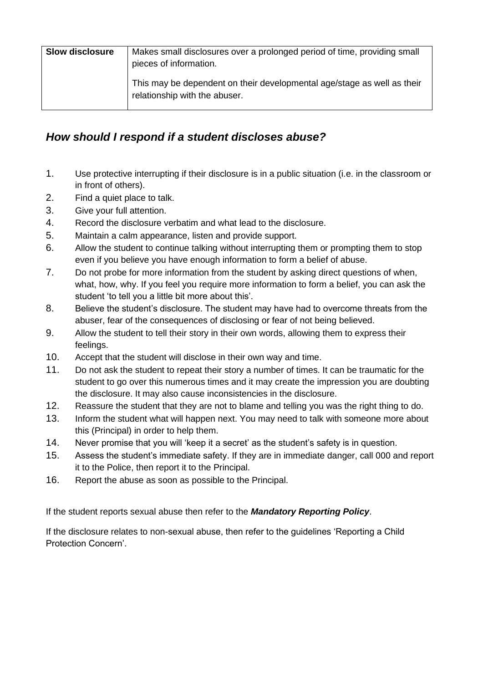| <b>Slow disclosure</b> | Makes small disclosures over a prolonged period of time, providing small<br>pieces of information.       |
|------------------------|----------------------------------------------------------------------------------------------------------|
|                        | This may be dependent on their developmental age/stage as well as their<br>relationship with the abuser. |

## *How should I respond if a student discloses abuse?*

- 1. Use protective interrupting if their disclosure is in a public situation (i.e. in the classroom or in front of others).
- 2. Find a quiet place to talk.
- 3. Give your full attention.
- 4. Record the disclosure verbatim and what lead to the disclosure.
- 5. Maintain a calm appearance, listen and provide support.
- 6. Allow the student to continue talking without interrupting them or prompting them to stop even if you believe you have enough information to form a belief of abuse.
- 7. Do not probe for more information from the student by asking direct questions of when, what, how, why. If you feel you require more information to form a belief, you can ask the student 'to tell you a little bit more about this'.
- 8. Believe the student's disclosure. The student may have had to overcome threats from the abuser, fear of the consequences of disclosing or fear of not being believed.
- 9. Allow the student to tell their story in their own words, allowing them to express their feelings.
- 10. Accept that the student will disclose in their own way and time.
- 11. Do not ask the student to repeat their story a number of times. It can be traumatic for the student to go over this numerous times and it may create the impression you are doubting the disclosure. It may also cause inconsistencies in the disclosure.
- 12. Reassure the student that they are not to blame and telling you was the right thing to do.
- 13. Inform the student what will happen next. You may need to talk with someone more about this (Principal) in order to help them.
- 14. Never promise that you will 'keep it a secret' as the student's safety is in question.
- 15. Assess the student's immediate safety. If they are in immediate danger, call 000 and report it to the Police, then report it to the Principal.
- 16. Report the abuse as soon as possible to the Principal.

If the student reports sexual abuse then refer to the *Mandatory Reporting Policy*.

If the disclosure relates to non-sexual abuse, then refer to the guidelines 'Reporting a Child Protection Concern'.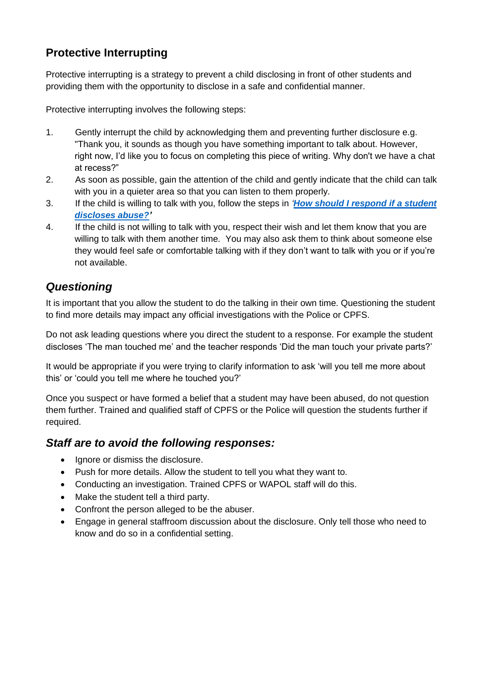# **Protective Interrupting**

Protective interrupting is a strategy to prevent a child disclosing in front of other students and providing them with the opportunity to disclose in a safe and confidential manner.

Protective interrupting involves the following steps:

- 1. Gently interrupt the child by acknowledging them and preventing further disclosure e.g. "Thank you, it sounds as though you have something important to talk about. However, right now, I'd like you to focus on completing this piece of writing. Why don't we have a chat at recess?"
- 2. As soon as possible, gain the attention of the child and gently indicate that the child can talk with you in a quieter area so that you can listen to them properly.
- 3. If the child is willing to talk with you, follow the steps in *'[How should I respond if a student](http://det.wa.edu.au/redirect/?oid=com.arsdigita.cms.contenttypes.ArticleSection-id-1391357)  [discloses](http://det.wa.edu.au/redirect/?oid=com.arsdigita.cms.contenttypes.ArticleSection-id-1391357) abuse?'*
- 4. If the child is not willing to talk with you, respect their wish and let them know that you are willing to talk with them another time. You may also ask them to think about someone else they would feel safe or comfortable talking with if they don't want to talk with you or if you're not available.

# *Questioning*

It is important that you allow the student to do the talking in their own time. Questioning the student to find more details may impact any official investigations with the Police or CPFS.

Do not ask leading questions where you direct the student to a response. For example the student discloses 'The man touched me' and the teacher responds 'Did the man touch your private parts?'

It would be appropriate if you were trying to clarify information to ask 'will you tell me more about this' or 'could you tell me where he touched you?'

Once you suspect or have formed a belief that a student may have been abused, do not question them further. Trained and qualified staff of CPFS or the Police will question the students further if required.

### *Staff are to avoid the following responses:*

- Ignore or dismiss the disclosure.
- Push for more details. Allow the student to tell you what they want to.
- Conducting an investigation. Trained CPFS or WAPOL staff will do this.
- Make the student tell a third party.
- Confront the person alleged to be the abuser.
- Engage in general staffroom discussion about the disclosure. Only tell those who need to know and do so in a confidential setting.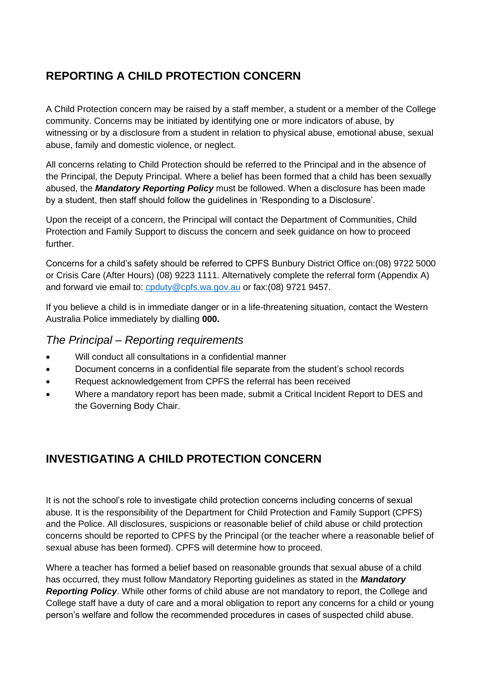# **REPORTING A CHILD PROTECTION CONCERN**

A Child Protection concern may be raised by a staff member, a student or a member of the College community. Concerns may be initiated by identifying one or more indicators of abuse, by witnessing or by a disclosure from a student in relation to physical abuse, emotional abuse, sexual abuse, family and domestic violence, or neglect.

All concerns relating to Child Protection should be referred to the Principal and in the absence of the Principal, the Deputy Principal. Where a belief has been formed that a child has been sexually abused, the *Mandatory Reporting Policy* must be followed. When a disclosure has been made by a student, then staff should follow the guidelines in 'Responding to a Disclosure'.

Upon the receipt of a concern, the Principal will contact the Department of Communities, Child Protection and Family Support to discuss the concern and seek guidance on how to proceed further.

Concerns for a child's safety should be referred to CPFS Bunbury District Office on:(08) 9722 5000 or Crisis Care (After Hours) (08) 9223 1111. Alternatively complete the referral form (Appendix A) and forward vie email to: [cpduty@cpfs.wa.gov.au](mailto:cpduty@cpfs.wa.gov.au) or fax:(08) 9721 9457.

If you believe a child is in immediate danger or in a life-threatening situation, contact the Western Australia Police immediately by dialling **000.**

### *The Principal – Reporting requirements*

- Will conduct all consultations in a confidential manner
- Document concerns in a confidential file separate from the student's school records
- Request acknowledgement from CPFS the referral has been received
- Where a mandatory report has been made, submit a Critical Incident Report to DES and the Governing Body Chair.

# **INVESTIGATING A CHILD PROTECTION CONCERN**

It is not the school's role to investigate child protection concerns including concerns of sexual abuse. It is the responsibility of the Department for Child Protection and Family Support (CPFS) and the Police. All disclosures, suspicions or reasonable belief of child abuse or child protection concerns should be reported to CPFS by the Principal (or the teacher where a reasonable belief of sexual abuse has been formed). CPFS will determine how to proceed.

Where a teacher has formed a belief based on reasonable grounds that sexual abuse of a child has occurred, they must follow Mandatory Reporting guidelines as stated in the *Mandatory Reporting Policy*. While other forms of child abuse are not mandatory to report, the College and College staff have a duty of care and a moral obligation to report any concerns for a child or young person's welfare and follow the recommended procedures in cases of suspected child abuse.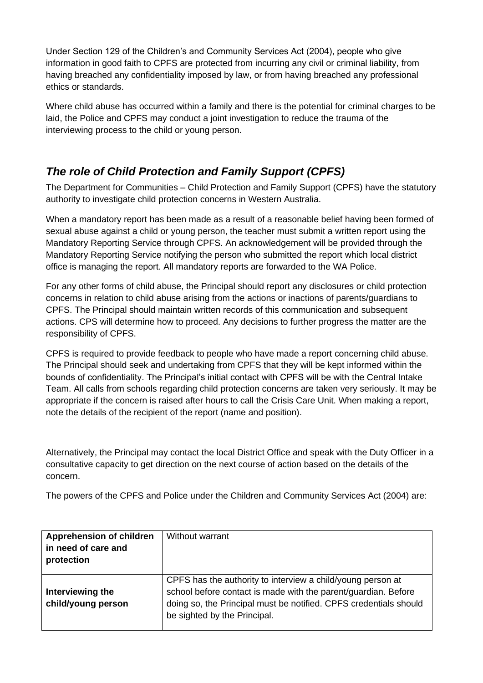Under Section 129 of the Children's and Community Services Act (2004), people who give information in good faith to CPFS are protected from incurring any civil or criminal liability, from having breached any confidentiality imposed by law, or from having breached any professional ethics or standards.

Where child abuse has occurred within a family and there is the potential for criminal charges to be laid, the Police and CPFS may conduct a joint investigation to reduce the trauma of the interviewing process to the child or young person.

# *The role of Child Protection and Family Support (CPFS)*

The Department for Communities – Child Protection and Family Support (CPFS) have the statutory authority to investigate child protection concerns in Western Australia.

When a mandatory report has been made as a result of a reasonable belief having been formed of sexual abuse against a child or young person, the teacher must submit a written report using the Mandatory Reporting Service through CPFS. An acknowledgement will be provided through the Mandatory Reporting Service notifying the person who submitted the report which local district office is managing the report. All mandatory reports are forwarded to the WA Police.

For any other forms of child abuse, the Principal should report any disclosures or child protection concerns in relation to child abuse arising from the actions or inactions of parents/guardians to CPFS. The Principal should maintain written records of this communication and subsequent actions. CPS will determine how to proceed. Any decisions to further progress the matter are the responsibility of CPFS.

CPFS is required to provide feedback to people who have made a report concerning child abuse. The Principal should seek and undertaking from CPFS that they will be kept informed within the bounds of confidentiality. The Principal's initial contact with CPFS will be with the Central Intake Team. All calls from schools regarding child protection concerns are taken very seriously. It may be appropriate if the concern is raised after hours to call the Crisis Care Unit. When making a report, note the details of the recipient of the report (name and position).

Alternatively, the Principal may contact the local District Office and speak with the Duty Officer in a consultative capacity to get direction on the next course of action based on the details of the concern.

The powers of the CPFS and Police under the Children and Community Services Act (2004) are:

| <b>Apprehension of children</b><br>in need of care and<br>protection | Without warrant                                                                                                                                                                                                                    |
|----------------------------------------------------------------------|------------------------------------------------------------------------------------------------------------------------------------------------------------------------------------------------------------------------------------|
| Interviewing the<br>child/young person                               | CPFS has the authority to interview a child/young person at<br>school before contact is made with the parent/guardian. Before<br>doing so, the Principal must be notified. CPFS credentials should<br>be sighted by the Principal. |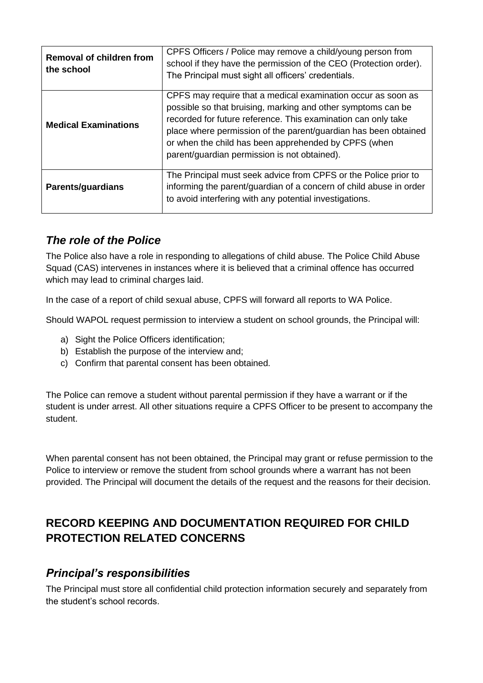| <b>Removal of children from</b><br>the school | CPFS Officers / Police may remove a child/young person from<br>school if they have the permission of the CEO (Protection order).<br>The Principal must sight all officers' credentials.                                                                                                                                                                                  |
|-----------------------------------------------|--------------------------------------------------------------------------------------------------------------------------------------------------------------------------------------------------------------------------------------------------------------------------------------------------------------------------------------------------------------------------|
| <b>Medical Examinations</b>                   | CPFS may require that a medical examination occur as soon as<br>possible so that bruising, marking and other symptoms can be<br>recorded for future reference. This examination can only take<br>place where permission of the parent/guardian has been obtained<br>or when the child has been apprehended by CPFS (when<br>parent/guardian permission is not obtained). |
| <b>Parents/guardians</b>                      | The Principal must seek advice from CPFS or the Police prior to<br>informing the parent/guardian of a concern of child abuse in order<br>to avoid interfering with any potential investigations.                                                                                                                                                                         |

## *The role of the Police*

The Police also have a role in responding to allegations of child abuse. The Police Child Abuse Squad (CAS) intervenes in instances where it is believed that a criminal offence has occurred which may lead to criminal charges laid.

In the case of a report of child sexual abuse, CPFS will forward all reports to WA Police.

Should WAPOL request permission to interview a student on school grounds, the Principal will:

- a) Sight the Police Officers identification;
- b) Establish the purpose of the interview and;
- c) Confirm that parental consent has been obtained.

The Police can remove a student without parental permission if they have a warrant or if the student is under arrest. All other situations require a CPFS Officer to be present to accompany the student.

When parental consent has not been obtained, the Principal may grant or refuse permission to the Police to interview or remove the student from school grounds where a warrant has not been provided. The Principal will document the details of the request and the reasons for their decision.

# **RECORD KEEPING AND DOCUMENTATION REQUIRED FOR CHILD PROTECTION RELATED CONCERNS**

### *Principal's responsibilities*

The Principal must store all confidential child protection information securely and separately from the student's school records.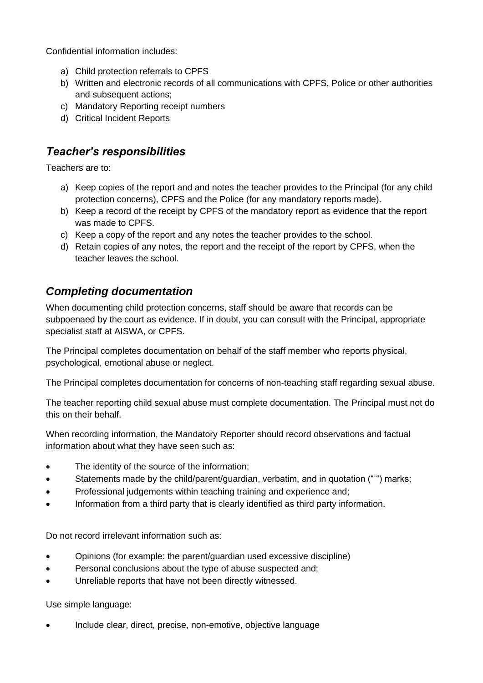Confidential information includes:

- a) Child protection referrals to CPFS
- b) Written and electronic records of all communications with CPFS, Police or other authorities and subsequent actions;
- c) Mandatory Reporting receipt numbers
- d) Critical Incident Reports

## *Teacher's responsibilities*

Teachers are to:

- a) Keep copies of the report and and notes the teacher provides to the Principal (for any child protection concerns), CPFS and the Police (for any mandatory reports made).
- b) Keep a record of the receipt by CPFS of the mandatory report as evidence that the report was made to CPFS.
- c) Keep a copy of the report and any notes the teacher provides to the school.
- d) Retain copies of any notes, the report and the receipt of the report by CPFS, when the teacher leaves the school.

## *Completing documentation*

When documenting child protection concerns, staff should be aware that records can be subpoenaed by the court as evidence. If in doubt, you can consult with the Principal, appropriate specialist staff at AISWA, or CPFS.

The Principal completes documentation on behalf of the staff member who reports physical, psychological, emotional abuse or neglect.

The Principal completes documentation for concerns of non-teaching staff regarding sexual abuse.

The teacher reporting child sexual abuse must complete documentation. The Principal must not do this on their behalf.

When recording information, the Mandatory Reporter should record observations and factual information about what they have seen such as:

- The identity of the source of the information:
- Statements made by the child/parent/guardian, verbatim, and in quotation ("") marks;
- Professional judgements within teaching training and experience and;
- Information from a third party that is clearly identified as third party information.

Do not record irrelevant information such as:

- Opinions (for example: the parent/guardian used excessive discipline)
- Personal conclusions about the type of abuse suspected and;
- Unreliable reports that have not been directly witnessed.

Use simple language:

• Include clear, direct, precise, non-emotive, objective language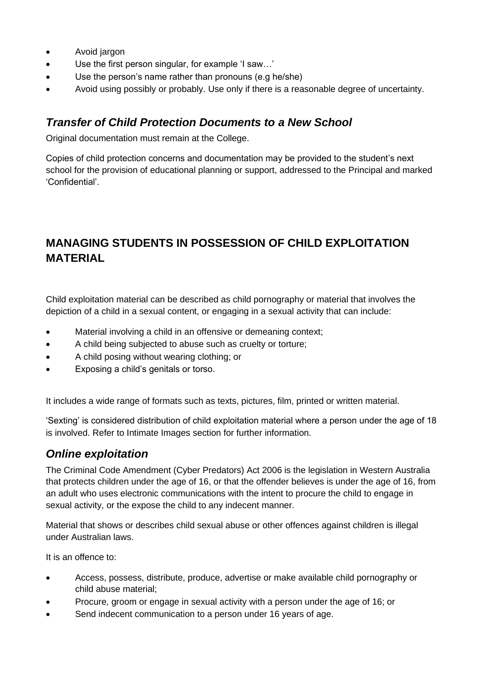- Avoid jargon
- Use the first person singular, for example 'I saw…'
- Use the person's name rather than pronouns (e.g he/she)
- Avoid using possibly or probably. Use only if there is a reasonable degree of uncertainty.

## *Transfer of Child Protection Documents to a New School*

Original documentation must remain at the College.

Copies of child protection concerns and documentation may be provided to the student's next school for the provision of educational planning or support, addressed to the Principal and marked 'Confidential'.

# **MANAGING STUDENTS IN POSSESSION OF CHILD EXPLOITATION MATERIAL**

Child exploitation material can be described as child pornography or material that involves the depiction of a child in a sexual content, or engaging in a sexual activity that can include:

- Material involving a child in an offensive or demeaning context;
- A child being subjected to abuse such as cruelty or torture;
- A child posing without wearing clothing; or
- Exposing a child's genitals or torso.

It includes a wide range of formats such as texts, pictures, film, printed or written material.

'Sexting' is considered distribution of child exploitation material where a person under the age of 18 is involved. Refer to Intimate Images section for further information.

### *Online exploitation*

The Criminal Code Amendment (Cyber Predators) Act 2006 is the legislation in Western Australia that protects children under the age of 16, or that the offender believes is under the age of 16, from an adult who uses electronic communications with the intent to procure the child to engage in sexual activity, or the expose the child to any indecent manner.

Material that shows or describes child sexual abuse or other offences against children is illegal under Australian laws.

It is an offence to:

- Access, possess, distribute, produce, advertise or make available child pornography or child abuse material;
- Procure, groom or engage in sexual activity with a person under the age of 16; or
- Send indecent communication to a person under 16 years of age.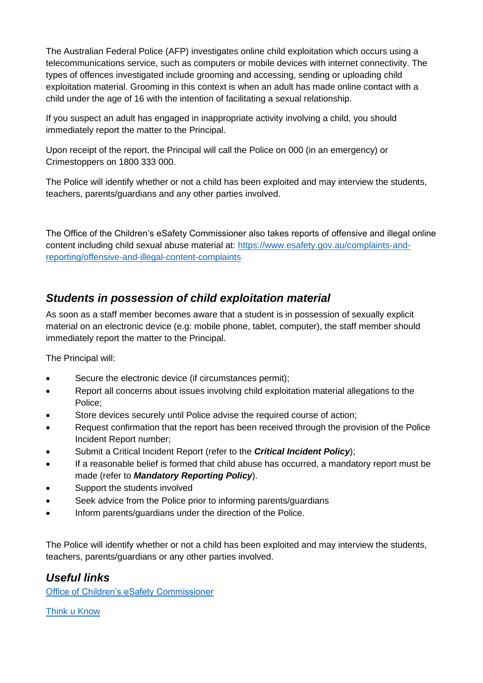The Australian Federal Police (AFP) investigates online child exploitation which occurs using a telecommunications service, such as computers or mobile devices with internet connectivity. The types of offences investigated include grooming and accessing, sending or uploading child exploitation material. Grooming in this context is when an adult has made online contact with a child under the age of 16 with the intention of facilitating a sexual relationship.

If you suspect an adult has engaged in inappropriate activity involving a child, you should immediately report the matter to the Principal.

Upon receipt of the report, the Principal will call the Police on 000 (in an emergency) or Crimestoppers on 1800 333 000.

The Police will identify whether or not a child has been exploited and may interview the students, teachers, parents/guardians and any other parties involved.

The Office of the Children's eSafety Commissioner also takes reports of offensive and illegal online content including child sexual abuse material at: [https://www.esafety.gov.au/complaints-and](https://www.esafety.gov.au/complaints-and-reporting/offensive-and-illegal-content-complaints)[reporting/offensive-and-illegal-content-complaints](https://www.esafety.gov.au/complaints-and-reporting/offensive-and-illegal-content-complaints)

## *Students in possession of child exploitation material*

As soon as a staff member becomes aware that a student is in possession of sexually explicit material on an electronic device (e.g: mobile phone, tablet, computer), the staff member should immediately report the matter to the Principal.

The Principal will:

- Secure the electronic device (if circumstances permit);
- Report all concerns about issues involving child exploitation material allegations to the Police;
- Store devices securely until Police advise the required course of action;
- Request confirmation that the report has been received through the provision of the Police Incident Report number;
- Submit a Critical Incident Report (refer to the *Critical Incident Policy*);
- If a reasonable belief is formed that child abuse has occurred, a mandatory report must be made (refer to *Mandatory Reporting Policy*).
- Support the students involved
- Seek advice from the Police prior to informing parents/guardians
- Inform parents/guardians under the direction of the Police.

The Police will identify whether or not a child has been exploited and may interview the students, teachers, parents/guardians or any other parties involved.

## *Useful links*

[Office of Children's eSafety Commissioner](http://www.esafety.gov.au/)

[Think u Know](https://www.thinkuknow.org.au/)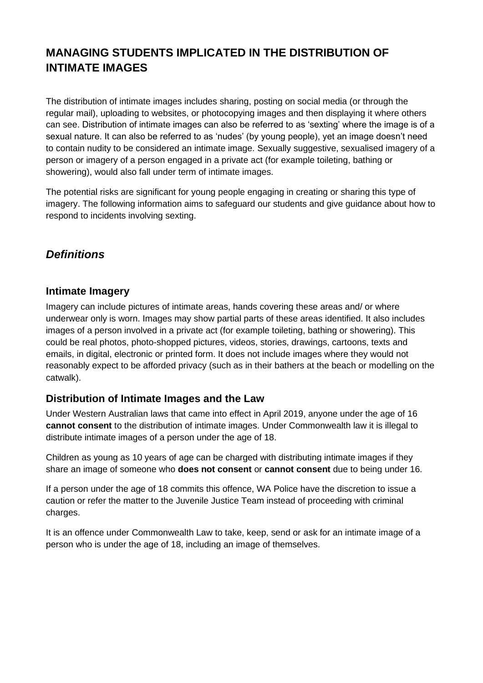# **MANAGING STUDENTS IMPLICATED IN THE DISTRIBUTION OF INTIMATE IMAGES**

The distribution of intimate images includes sharing, posting on social media (or through the regular mail), uploading to websites, or photocopying images and then displaying it where others can see. Distribution of intimate images can also be referred to as 'sexting' where the image is of a sexual nature. It can also be referred to as 'nudes' (by young people), yet an image doesn't need to contain nudity to be considered an intimate image. Sexually suggestive, sexualised imagery of a person or imagery of a person engaged in a private act (for example toileting, bathing or showering), would also fall under term of intimate images.

The potential risks are significant for young people engaging in creating or sharing this type of imagery. The following information aims to safeguard our students and give guidance about how to respond to incidents involving sexting.

# *Definitions*

### **Intimate Imagery**

Imagery can include pictures of intimate areas, hands covering these areas and/ or where underwear only is worn. Images may show partial parts of these areas identified. It also includes images of a person involved in a private act (for example toileting, bathing or showering). This could be real photos, photo-shopped pictures, videos, stories, drawings, cartoons, texts and emails, in digital, electronic or printed form. It does not include images where they would not reasonably expect to be afforded privacy (such as in their bathers at the beach or modelling on the catwalk).

### **Distribution of Intimate Images and the Law**

Under Western Australian laws that came into effect in April 2019, anyone under the age of 16 **cannot consent** to the distribution of intimate images. Under Commonwealth law it is illegal to distribute intimate images of a person under the age of 18.

Children as young as 10 years of age can be charged with distributing intimate images if they share an image of someone who **does not consent** or **cannot consent** due to being under 16.

If a person under the age of 18 commits this offence, WA Police have the discretion to issue a caution or refer the matter to the Juvenile Justice Team instead of proceeding with criminal charges.

It is an offence under Commonwealth Law to take, keep, send or ask for an intimate image of a person who is under the age of 18, including an image of themselves.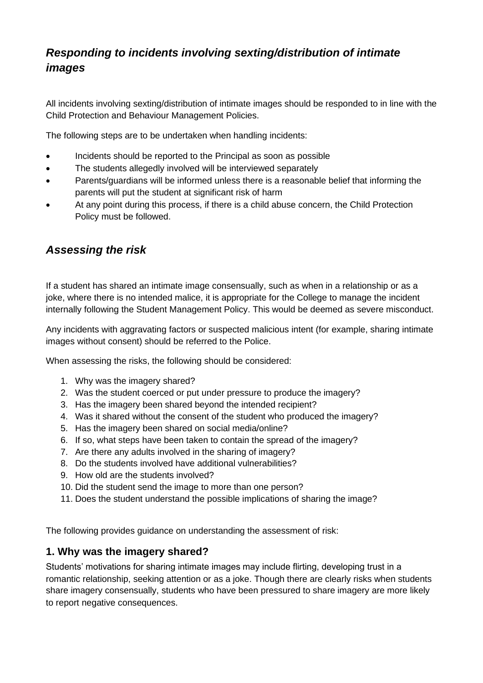# *Responding to incidents involving sexting/distribution of intimate images*

All incidents involving sexting/distribution of intimate images should be responded to in line with the Child Protection and Behaviour Management Policies.

The following steps are to be undertaken when handling incidents:

- Incidents should be reported to the Principal as soon as possible
- The students allegedly involved will be interviewed separately
- Parents/guardians will be informed unless there is a reasonable belief that informing the parents will put the student at significant risk of harm
- At any point during this process, if there is a child abuse concern, the Child Protection Policy must be followed.

## *Assessing the risk*

If a student has shared an intimate image consensually, such as when in a relationship or as a joke, where there is no intended malice, it is appropriate for the College to manage the incident internally following the Student Management Policy. This would be deemed as severe misconduct.

Any incidents with aggravating factors or suspected malicious intent (for example, sharing intimate images without consent) should be referred to the Police.

When assessing the risks, the following should be considered:

- 1. Why was the imagery shared?
- 2. Was the student coerced or put under pressure to produce the imagery?
- 3. Has the imagery been shared beyond the intended recipient?
- 4. Was it shared without the consent of the student who produced the imagery?
- 5. Has the imagery been shared on social media/online?
- 6. If so, what steps have been taken to contain the spread of the imagery?
- 7. Are there any adults involved in the sharing of imagery?
- 8. Do the students involved have additional vulnerabilities?
- 9. How old are the students involved?
- 10. Did the student send the image to more than one person?
- 11. Does the student understand the possible implications of sharing the image?

The following provides guidance on understanding the assessment of risk:

### **1. Why was the imagery shared?**

Students' motivations for sharing intimate images may include flirting, developing trust in a romantic relationship, seeking attention or as a joke. Though there are clearly risks when students share imagery consensually, students who have been pressured to share imagery are more likely to report negative consequences.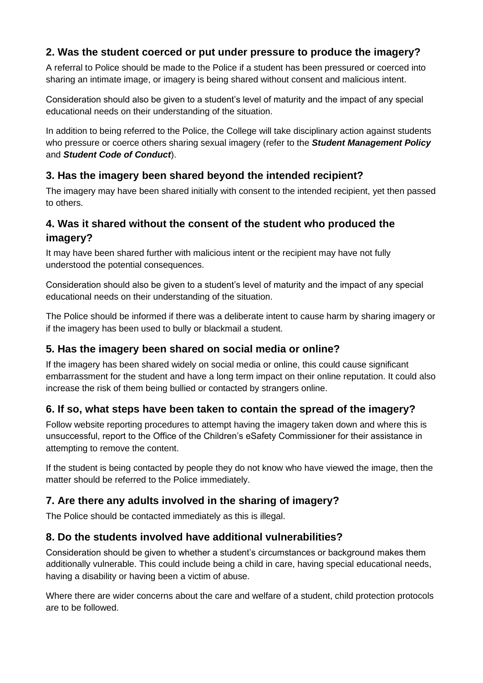## **2. Was the student coerced or put under pressure to produce the imagery?**

A referral to Police should be made to the Police if a student has been pressured or coerced into sharing an intimate image, or imagery is being shared without consent and malicious intent.

Consideration should also be given to a student's level of maturity and the impact of any special educational needs on their understanding of the situation.

In addition to being referred to the Police, the College will take disciplinary action against students who pressure or coerce others sharing sexual imagery (refer to the *Student Management Policy* and *Student Code of Conduct*).

## **3. Has the imagery been shared beyond the intended recipient?**

The imagery may have been shared initially with consent to the intended recipient, yet then passed to others.

## **4. Was it shared without the consent of the student who produced the imagery?**

It may have been shared further with malicious intent or the recipient may have not fully understood the potential consequences.

Consideration should also be given to a student's level of maturity and the impact of any special educational needs on their understanding of the situation.

The Police should be informed if there was a deliberate intent to cause harm by sharing imagery or if the imagery has been used to bully or blackmail a student.

## **5. Has the imagery been shared on social media or online?**

If the imagery has been shared widely on social media or online, this could cause significant embarrassment for the student and have a long term impact on their online reputation. It could also increase the risk of them being bullied or contacted by strangers online.

## **6. If so, what steps have been taken to contain the spread of the imagery?**

Follow website reporting procedures to attempt having the imagery taken down and where this is unsuccessful, report to the Office of the Children's eSafety Commissioner for their assistance in attempting to remove the content.

If the student is being contacted by people they do not know who have viewed the image, then the matter should be referred to the Police immediately.

## **7. Are there any adults involved in the sharing of imagery?**

The Police should be contacted immediately as this is illegal.

### **8. Do the students involved have additional vulnerabilities?**

Consideration should be given to whether a student's circumstances or background makes them additionally vulnerable. This could include being a child in care, having special educational needs, having a disability or having been a victim of abuse.

Where there are wider concerns about the care and welfare of a student, child protection protocols are to be followed.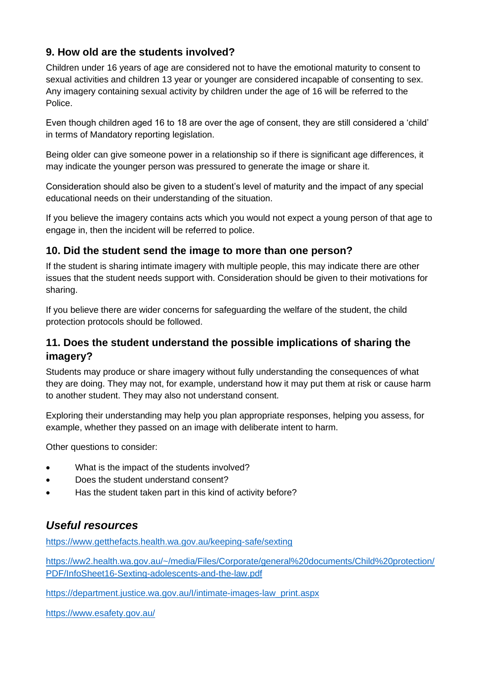## **9. How old are the students involved?**

Children under 16 years of age are considered not to have the emotional maturity to consent to sexual activities and children 13 year or younger are considered incapable of consenting to sex. Any imagery containing sexual activity by children under the age of 16 will be referred to the Police.

Even though children aged 16 to 18 are over the age of consent, they are still considered a 'child' in terms of Mandatory reporting legislation.

Being older can give someone power in a relationship so if there is significant age differences, it may indicate the younger person was pressured to generate the image or share it.

Consideration should also be given to a student's level of maturity and the impact of any special educational needs on their understanding of the situation.

If you believe the imagery contains acts which you would not expect a young person of that age to engage in, then the incident will be referred to police.

### **10. Did the student send the image to more than one person?**

If the student is sharing intimate imagery with multiple people, this may indicate there are other issues that the student needs support with. Consideration should be given to their motivations for sharing.

If you believe there are wider concerns for safeguarding the welfare of the student, the child protection protocols should be followed.

### **11. Does the student understand the possible implications of sharing the imagery?**

Students may produce or share imagery without fully understanding the consequences of what they are doing. They may not, for example, understand how it may put them at risk or cause harm to another student. They may also not understand consent.

Exploring their understanding may help you plan appropriate responses, helping you assess, for example, whether they passed on an image with deliberate intent to harm.

Other questions to consider:

- What is the impact of the students involved?
- Does the student understand consent?
- Has the student taken part in this kind of activity before?

## *Useful resources*

<https://www.getthefacts.health.wa.gov.au/keeping-safe/sexting>

[https://ww2.health.wa.gov.au/~/media/Files/Corporate/general%20documents/Child%20protection/](https://ww2.health.wa.gov.au/~/media/Files/Corporate/general%20documents/Child%20protection/PDF/InfoSheet16-Sexting-adolescents-and-the-law.pdf) [PDF/InfoSheet16-Sexting-adolescents-and-the-law.pdf](https://ww2.health.wa.gov.au/~/media/Files/Corporate/general%20documents/Child%20protection/PDF/InfoSheet16-Sexting-adolescents-and-the-law.pdf)

[https://department.justice.wa.gov.au/I/intimate-images-law\\_print.aspx](https://department.justice.wa.gov.au/I/intimate-images-law_print.aspx)

<https://www.esafety.gov.au/>